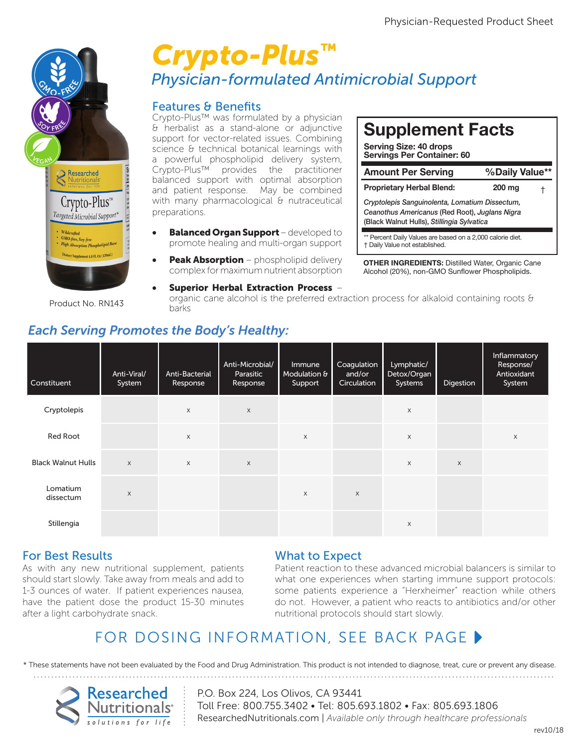

Product No. RN143

## *Physician-formulated Antimicrobial Support Crypto-Plus™* psicial formata

### Features & Benefits

**Callaticum** vas formulated by a physician & herbalist as a stand-alone or adjunctive support for vector-related issues. Combining science & technical botanical learnings with<br>a nowerful phospholipid delivery system science & technical botanical learnings with<br>a powerful phospholipid delivery system, Crypto-Plus™ provides the practitioner balanced support with optimal absorption and patient response. May be combined with many pharmacological & nutraceutical preparations.

- preparations.<br>• Balanced Organ Support developed to promote healing and multi-organ support
- **Peak Absorption** phospholipid delivery complex for maximum nutrient absorption

# **Supplement Facts**

**Serving Size: 40 drops Servings Per Container: 60**

| <b>Amount Per Serving</b>                                                                                                                      | %Daily Value** |   |  |  |  |  |
|------------------------------------------------------------------------------------------------------------------------------------------------|----------------|---|--|--|--|--|
| <b>Proprietary Herbal Blend:</b>                                                                                                               | $200$ mg       | Ť |  |  |  |  |
| Cryptolepis Sanguinolenta, Lomatium Dissectum,<br>Ceanothus Americanus (Red Root), Juglans Nigra<br>(Black Walnut Hulls), Stillingia Sylvatica |                |   |  |  |  |  |
|                                                                                                                                                |                |   |  |  |  |  |

\* Percent Daily Values are based on a 2,000 calorie diet. † Daily Value not established.

**OTHER INGREDIENTS:** Distilled Water, Organic Cane Alcohol (20%), non-GMO Sunflower Phospholipids.

• Superior Herbal Extraction Process – organic cane alcohol is the preferred extraction process for alkaloid containing roots  $\theta$ barks

## *Each Serving Promotes the Body's Healthy:*

| Constituent               | Anti-Viral/<br>System | Anti-Bacterial<br>Response | Anti-Microbial/<br>Parasitic<br>Response | Immune<br>Modulation $6$<br>Support | Coagulation<br>and/or<br>Circulation | Lymphatic/<br>Detox/Organ<br>Systems | Digestion | Inflammatory<br>Response/<br>Antioxidant<br>System |
|---------------------------|-----------------------|----------------------------|------------------------------------------|-------------------------------------|--------------------------------------|--------------------------------------|-----------|----------------------------------------------------|
| Cryptolepis               |                       | $\mathsf X$                | $\times$                                 |                                     |                                      | X                                    |           |                                                    |
| Red Root                  |                       | $\mathsf{X}$               |                                          | $\mathsf{X}$                        |                                      | $\times$                             |           | X                                                  |
| <b>Black Walnut Hulls</b> | $\times$              | $\times$                   | $\times$                                 |                                     |                                      | $\times$                             | $\times$  |                                                    |
| Lomatium<br>dissectum     | $\times$              |                            |                                          | X                                   | $\mathsf X$                          |                                      |           |                                                    |
| Stillengia                |                       |                            |                                          |                                     |                                      | $\times$                             |           |                                                    |

## For Best Results

As with any new nutritional supplement, patients should start slowly. Take away from meals and add to 1-3 ounces of water. If patient experiences nausea, have the patient dose the product 15-30 minutes after a light carbohydrate snack.

#### What to Expect

Patient reaction to these advanced microbial balancers is similar to what one experiences when starting immune support protocols: some patients experience a "Herxheimer" reaction while others do not. However, a patient who reacts to antibiotics and/or other nutritional protocols should start slowly.

## FOR DOSING INFORMATION, SEE BACK PAGE  $\blacktriangleright$

\* These statements have not been evaluated by the Food and Drug Administration. This product is not intended to diagnose, treat, cure or prevent any disease.



P.O. Box 224, Los Olivos, CA 93441 Toll Free: 800.755.3402 • Tel: 805.693.1802 • Fax: 805.693.1806 ResearchedNutritionals.com | *Available only through healthcare professionals*